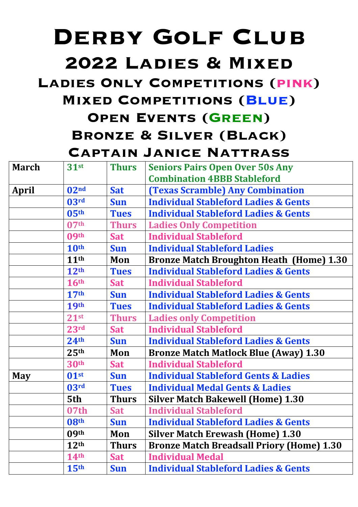# **Derby Golf Club**

## **2022 Ladies & Mixed**

#### **Ladies Only Competitions (pink)**

#### **Mixed Competitions (Blue)**

### **Open Events (Green) Bronze & Silver (Black) Captain Janice Nattrass**

| <b>March</b> | $31$ st          | <b>Thurs</b> | <b>Seniors Pairs Open Over 50s Any</b>           |
|--------------|------------------|--------------|--------------------------------------------------|
|              |                  |              | <b>Combination 4BBB Stableford</b>               |
| <b>April</b> | 02 <sup>nd</sup> | <b>Sat</b>   | <b>(Texas Scramble) Any Combination</b>          |
|              | 03 <sup>rd</sup> | <b>Sun</b>   | <b>Individual Stableford Ladies &amp; Gents</b>  |
|              | 05 <sup>th</sup> | <b>Tues</b>  | <b>Individual Stableford Ladies &amp; Gents</b>  |
|              | 07 <sup>th</sup> | <b>Thurs</b> | <b>Ladies Only Competition</b>                   |
|              | 09 <sup>th</sup> | <b>Sat</b>   | <b>Individual Stableford</b>                     |
|              | 10 <sup>th</sup> | <b>Sun</b>   | <b>Individual Stableford Ladies</b>              |
|              | 11 <sup>th</sup> | Mon          | <b>Bronze Match Broughton Heath (Home) 1.30</b>  |
|              | 12 <sup>th</sup> | <b>Tues</b>  | <b>Individual Stableford Ladies &amp; Gents</b>  |
|              | <b>16th</b>      | <b>Sat</b>   | <b>Individual Stableford</b>                     |
|              | 17 <sup>th</sup> | <b>Sun</b>   | <b>Individual Stableford Ladies &amp; Gents</b>  |
|              | <b>19th</b>      | <b>Tues</b>  | <b>Individual Stableford Ladies &amp; Gents</b>  |
|              | 21 <sup>st</sup> | <b>Thurs</b> | <b>Ladies only Competition</b>                   |
|              | 23 <sup>rd</sup> | <b>Sat</b>   | <b>Individual Stableford</b>                     |
|              | 24 <sup>th</sup> | <b>Sun</b>   | <b>Individual Stableford Ladies &amp; Gents</b>  |
|              | 25 <sup>th</sup> | Mon          | <b>Bronze Match Matlock Blue (Away) 1.30</b>     |
|              | <b>30th</b>      | <b>Sat</b>   | <b>Individual Stableford</b>                     |
| <b>May</b>   | 01 <sup>st</sup> | <b>Sun</b>   | <b>Individual Stableford Gents &amp; Ladies</b>  |
|              | 03 <sup>rd</sup> | <b>Tues</b>  | <b>Individual Medal Gents &amp; Ladies</b>       |
|              | 5th              | <b>Thurs</b> | <b>Silver Match Bakewell (Home) 1.30</b>         |
|              | 07th             | <b>Sat</b>   | <b>Individual Stableford</b>                     |
|              | 08 <sup>th</sup> | <b>Sun</b>   | <b>Individual Stableford Ladies &amp; Gents</b>  |
|              | 09 <sup>th</sup> | Mon          | <b>Silver Match Erewash (Home) 1.30</b>          |
|              | 12 <sup>th</sup> | <b>Thurs</b> | <b>Bronze Match Breadsall Priory (Home) 1.30</b> |
|              | 14 <sup>th</sup> | <b>Sat</b>   | <b>Individual Medal</b>                          |
|              | 15 <sup>th</sup> | <b>Sun</b>   | <b>Individual Stableford Ladies &amp; Gents</b>  |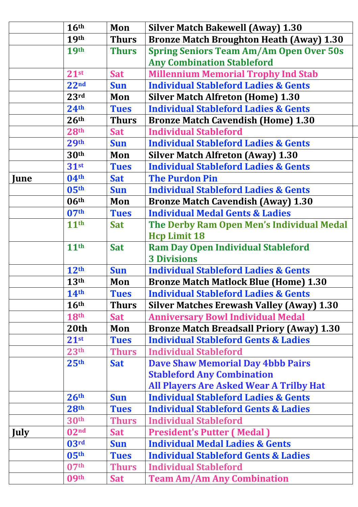|             | 16 <sup>th</sup> | Mon          | <b>Silver Match Bakewell (Away) 1.30</b>         |
|-------------|------------------|--------------|--------------------------------------------------|
|             | <b>19th</b>      | <b>Thurs</b> | <b>Bronze Match Broughton Heath (Away) 1.30</b>  |
|             | <b>19th</b>      | <b>Thurs</b> | <b>Spring Seniors Team Am/Am Open Over 50s</b>   |
|             |                  |              | <b>Any Combination Stableford</b>                |
|             | $21^{st}$        | <b>Sat</b>   | <b>Millennium Memorial Trophy Ind Stab</b>       |
|             | 22 <sub>nd</sub> | <b>Sun</b>   | <b>Individual Stableford Ladies &amp; Gents</b>  |
|             | 23rd             | Mon          | <b>Silver Match Alfreton (Home) 1.30</b>         |
|             | 24 <sup>th</sup> | <b>Tues</b>  | <b>Individual Stableford Ladies &amp; Gents</b>  |
|             | 26 <sup>th</sup> | <b>Thurs</b> | <b>Bronze Match Cavendish (Home) 1.30</b>        |
|             | 28 <sup>th</sup> | <b>Sat</b>   | <b>Individual Stableford</b>                     |
|             | <b>29th</b>      | <b>Sun</b>   | <b>Individual Stableford Ladies &amp; Gents</b>  |
|             | 30 <sup>th</sup> | Mon          | <b>Silver Match Alfreton (Away) 1.30</b>         |
|             | 31 <sup>st</sup> | <b>Tues</b>  | <b>Individual Stableford Ladies &amp; Gents</b>  |
| June        | 04 <sup>th</sup> | <b>Sat</b>   | <b>The Purdon Pin</b>                            |
|             | 05 <sup>th</sup> | <b>Sun</b>   | <b>Individual Stableford Ladies &amp; Gents</b>  |
|             | 06 <sup>th</sup> | Mon          | <b>Bronze Match Cavendish (Away) 1.30</b>        |
|             | 07 <sup>th</sup> | <b>Tues</b>  | <b>Individual Medal Gents &amp; Ladies</b>       |
|             | 11 <sup>th</sup> | <b>Sat</b>   | The Derby Ram Open Men's Individual Medal        |
|             |                  |              | <b>Hcp Limit 18</b>                              |
|             | 11 <sup>th</sup> | <b>Sat</b>   | <b>Ram Day Open Individual Stableford</b>        |
|             |                  |              | <b>3 Divisions</b>                               |
|             | 12 <sup>th</sup> | <b>Sun</b>   | <b>Individual Stableford Ladies &amp; Gents</b>  |
|             | 13 <sup>th</sup> | Mon          | <b>Bronze Match Matlock Blue (Home) 1.30</b>     |
|             | 14 <sup>th</sup> | <b>Tues</b>  | <b>Individual Stableford Ladies &amp; Gents</b>  |
|             | 16 <sup>th</sup> | <b>Thurs</b> | <b>Silver Matches Erewash Valley (Away) 1.30</b> |
|             | <b>18th</b>      | <b>Sat</b>   | <b>Anniversary Bowl Individual Medal</b>         |
|             | 20 <sub>th</sub> | Mon          | <b>Bronze Match Breadsall Priory (Away) 1.30</b> |
|             | 21st             | <b>Tues</b>  | <b>Individual Stableford Gents &amp; Ladies</b>  |
|             | 23 <sup>th</sup> | <b>Thurs</b> | <b>Individual Stableford</b>                     |
|             | 25 <sup>th</sup> | <b>Sat</b>   | <b>Dave Shaw Memorial Day 4bbb Pairs</b>         |
|             |                  |              | <b>Stableford Any Combination</b>                |
|             |                  |              | <b>All Players Are Asked Wear A Trilby Hat</b>   |
|             | 26 <sup>th</sup> | Sun          | <b>Individual Stableford Ladies &amp; Gents</b>  |
|             | 28 <sup>th</sup> | <b>Tues</b>  | <b>Individual Stableford Gents &amp; Ladies</b>  |
|             | 30 <sup>th</sup> | <b>Thurs</b> | <b>Individual Stableford</b>                     |
| <b>July</b> | 02 <sup>nd</sup> | <b>Sat</b>   | <b>President's Putter (Medal)</b>                |
|             | 03 <sup>rd</sup> | <b>Sun</b>   | <b>Individual Medal Ladies &amp; Gents</b>       |
|             | 05 <sup>th</sup> | <b>Tues</b>  | <b>Individual Stableford Gents &amp; Ladies</b>  |
|             | 07 <sup>th</sup> | <b>Thurs</b> | <b>Individual Stableford</b>                     |
|             | 09 <sup>th</sup> | <b>Sat</b>   | <b>Team Am/Am Any Combination</b>                |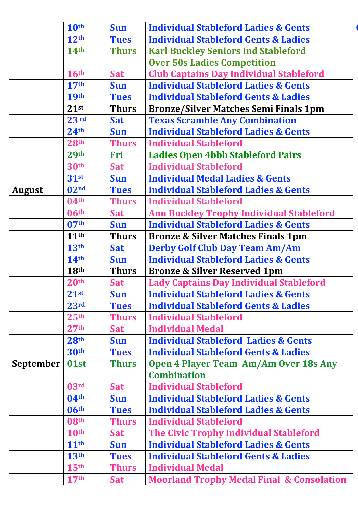|                  | 10th             | <b>Sun</b>   | <b>Individual Stableford Ladies &amp; Gents</b>      |
|------------------|------------------|--------------|------------------------------------------------------|
|                  | 12 <sup>th</sup> | <b>Tues</b>  | <b>Individual Stableford Gents &amp; Ladies</b>      |
|                  | <b>14th</b>      | <b>Thurs</b> | <b>Karl Buckley Seniors Ind Stableford</b>           |
|                  |                  |              | <b>Over 50s Ladies Competition</b>                   |
|                  | 16 <sup>th</sup> | <b>Sat</b>   | <b>Club Captains Day Individual Stableford</b>       |
|                  | 17 <sup>th</sup> | <b>Sun</b>   | <b>Individual Stableford Ladies &amp; Gents</b>      |
|                  | <b>19th</b>      | <b>Tues</b>  | <b>Individual Stableford Gents &amp; Ladies</b>      |
|                  | $21^{st}$        | <b>Thurs</b> | <b>Bronze/Silver Matches Semi Finals 1pm</b>         |
|                  | 23 <sup>rd</sup> | <b>Sat</b>   | <b>Texas Scramble Any Combination</b>                |
|                  | 24 <sup>th</sup> | <b>Sun</b>   | <b>Individual Stableford Ladies &amp; Gents</b>      |
|                  | 28 <sup>th</sup> | <b>Thurs</b> | <b>Individual Stableford</b>                         |
|                  | 29 <sup>th</sup> | Fri          | <b>Ladies Open 4bbb Stableford Pairs</b>             |
|                  | <b>30th</b>      | <b>Sat</b>   | <b>Individual Stableford</b>                         |
|                  | $31$ st          | <b>Sun</b>   | <b>Individual Medal Ladies &amp; Gents</b>           |
| August           | 02 <sup>nd</sup> | <b>Tues</b>  | <b>Individual Stableford Ladies &amp; Gents</b>      |
|                  | 04 <sup>th</sup> | <b>Thurs</b> | <b>Individual Stableford</b>                         |
|                  | 06 <sup>th</sup> | <b>Sat</b>   | <b>Ann Buckley Trophy Individual Stableford</b>      |
|                  | 07 <sup>th</sup> | <b>Sun</b>   | <b>Individual Stableford Ladies &amp; Gents</b>      |
|                  | 11 <sup>th</sup> | <b>Thurs</b> | <b>Bronze &amp; Silver Matches Finals 1pm</b>        |
|                  | 13 <sup>th</sup> | <b>Sat</b>   | <b>Derby Golf Club Day Team Am/Am</b>                |
|                  | 14 <sup>th</sup> | <b>Sun</b>   | <b>Individual Stableford Ladies &amp; Gents</b>      |
|                  | 18 <sup>th</sup> | Thurs        | <b>Bronze &amp; Silver Reserved 1pm</b>              |
|                  | 20 <sup>th</sup> | <b>Sat</b>   | <b>Lady Captains Day Individual Stableford</b>       |
|                  | 21 <sup>st</sup> | <b>Sun</b>   | <b>Individual Stableford Ladies &amp; Gents</b>      |
|                  | 23 <sup>rd</sup> | <b>Tues</b>  | <b>Individual Stableford Gents &amp; Ladies</b>      |
|                  | 25 <sup>th</sup> | <b>Thurs</b> | <b>Individual Stableford</b>                         |
|                  | 27 <sup>th</sup> | <b>Sat</b>   | <b>Individual Medal</b>                              |
|                  | 28 <sup>th</sup> | <b>Sun</b>   | <b>Individual Stableford Ladies &amp; Gents</b>      |
|                  | 30 <sup>th</sup> | <b>Tues</b>  | <b>Individual Stableford Gents &amp; Ladies</b>      |
| September   01st |                  | <b>Thurs</b> | Open 4 Player Team Am/Am Over 18s Any                |
|                  |                  |              | <b>Combination</b>                                   |
|                  | 03 <sup>rd</sup> | <b>Sat</b>   | <b>Individual Stableford</b>                         |
|                  | 04 <sup>th</sup> | <b>Sun</b>   | <b>Individual Stableford Ladies &amp; Gents</b>      |
|                  | 06 <sup>th</sup> | <b>Tues</b>  | <b>Individual Stableford Ladies &amp; Gents</b>      |
|                  | 08 <sup>th</sup> | <b>Thurs</b> | <b>Individual Stableford</b>                         |
|                  | 10 <sup>th</sup> | <b>Sat</b>   | The Civic Trophy Individual Stableford               |
|                  | 11 <sup>th</sup> | <b>Sun</b>   | <b>Individual Stableford Ladies &amp; Gents</b>      |
|                  | 13 <sup>th</sup> | <b>Tues</b>  | <b>Individual Stableford Gents &amp; Ladies</b>      |
|                  | 15 <sup>th</sup> | <b>Thurs</b> | <b>Individual Medal</b>                              |
|                  | 17 <sup>th</sup> | <b>Sat</b>   | <b>Moorland Trophy Medal Final &amp; Consolation</b> |
|                  |                  |              |                                                      |